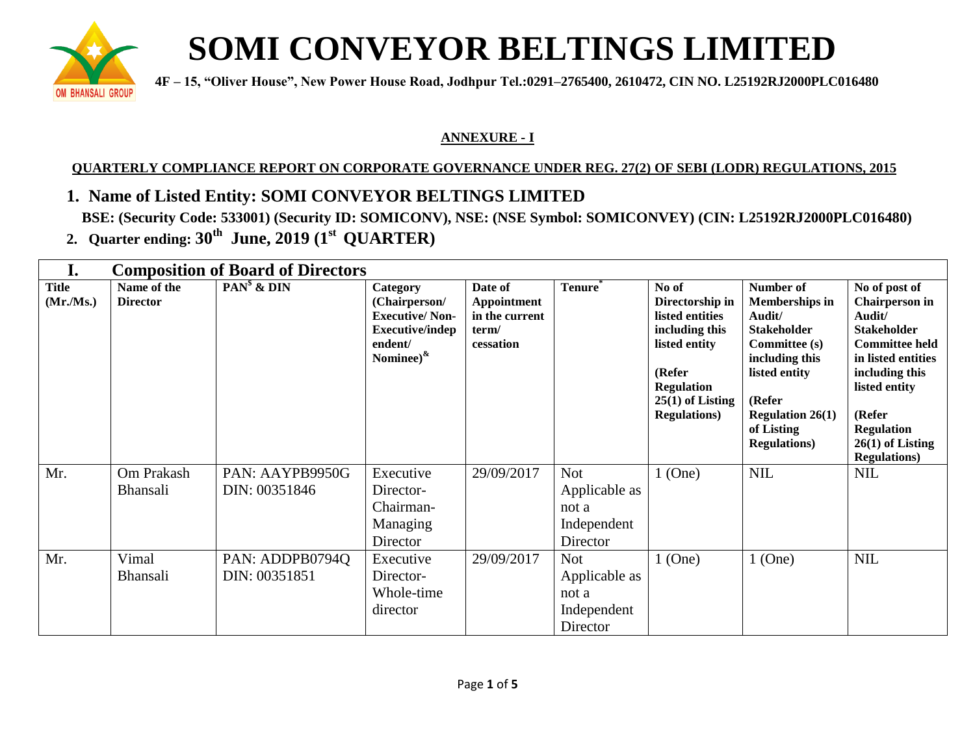

## **SOMI CONVEYOR BELTINGS LIMITED**

**4F** – 15, "Oliver House", New Power House Road, Jodhpur Tel.:0291–2765400, 2610472, CIN NO. L25192RJ2000PLC016480

## **ANNEXURE - I**

## **QUARTERLY COMPLIANCE REPORT ON CORPORATE GOVERNANCE UNDER REG. 27(2) OF SEBI (LODR) REGULATIONS, 2015**

- **1. Name of Listed Entity: SOMI CONVEYOR BELTINGS LIMITED BSE: (Security Code: 533001) (Security ID: SOMICONV), NSE: (NSE Symbol: SOMICONVEY) (CIN: L25192RJ2000PLC016480)**
- **2. Quarter ending: 30 th June, 2019 (1 st QUARTER)**

| I.                       | <b>Composition of Board of Directors</b> |                                  |                                                                                                              |                                                                       |                                                                 |                                                                                |                                                                                                              |                                                                                                                       |
|--------------------------|------------------------------------------|----------------------------------|--------------------------------------------------------------------------------------------------------------|-----------------------------------------------------------------------|-----------------------------------------------------------------|--------------------------------------------------------------------------------|--------------------------------------------------------------------------------------------------------------|-----------------------------------------------------------------------------------------------------------------------|
| <b>Title</b><br>(Mr/Ms.) | Name of the<br><b>Director</b>           | $PANs$ & $DIN$                   | Category<br>(Chairperson/<br><b>Executive/Non-</b><br><b>Executive/indep</b><br>endent/<br>Nominee) $\kappa$ | Date of<br><b>Appointment</b><br>in the current<br>term/<br>cessation | Tenure <sup>®</sup>                                             | No of<br>Directorship in<br>listed entities<br>including this<br>listed entity | Number of<br><b>Memberships in</b><br>Audit/<br><b>Stakeholder</b><br><b>Committee (s)</b><br>including this | No of post of<br><b>Chairperson</b> in<br>Audit/<br><b>Stakeholder</b><br><b>Committee held</b><br>in listed entities |
|                          |                                          |                                  |                                                                                                              |                                                                       |                                                                 | (Refer<br><b>Regulation</b><br>$25(1)$ of Listing<br><b>Regulations</b> )      | listed entity<br>(Refer<br><b>Regulation 26(1)</b><br>of Listing<br><b>Regulations</b> )                     | including this<br>listed entity<br>(Refer<br><b>Regulation</b><br>$26(1)$ of Listing<br><b>Regulations</b> )          |
| Mr.                      | Om Prakash<br><b>Bhansali</b>            | PAN: AAYPB9950G<br>DIN: 00351846 | Executive<br>Director-<br>Chairman-<br>Managing<br>Director                                                  | 29/09/2017                                                            | <b>Not</b><br>Applicable as<br>not a<br>Independent<br>Director | $1$ (One)                                                                      | <b>NIL</b>                                                                                                   | <b>NIL</b>                                                                                                            |
| Mr.                      | Vimal<br><b>Bhansali</b>                 | PAN: ADDPB0794Q<br>DIN: 00351851 | Executive<br>Director-<br>Whole-time<br>director                                                             | 29/09/2017                                                            | <b>Not</b><br>Applicable as<br>not a<br>Independent<br>Director | $1$ (One)                                                                      | $1$ (One)                                                                                                    | <b>NIL</b>                                                                                                            |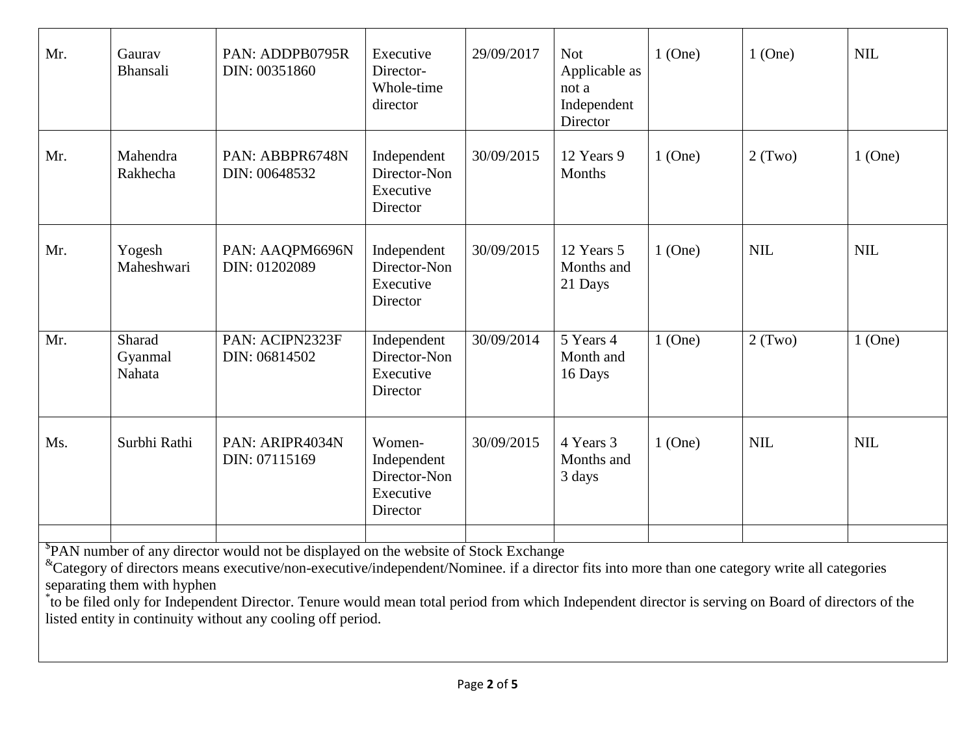| Mr. | Gaurav<br>Bhansali          | PAN: ADDPB0795R<br>DIN: 00351860                                                                                                                                                                                                                                                                                                                                                                                       | Executive<br>Director-<br>Whole-time<br>director               | 29/09/2017 | <b>Not</b><br>Applicable as<br>not a<br>Independent<br>Director | $1$ (One) | $1$ (One)  | <b>NIL</b> |
|-----|-----------------------------|------------------------------------------------------------------------------------------------------------------------------------------------------------------------------------------------------------------------------------------------------------------------------------------------------------------------------------------------------------------------------------------------------------------------|----------------------------------------------------------------|------------|-----------------------------------------------------------------|-----------|------------|------------|
| Mr. | Mahendra<br>Rakhecha        | PAN: ABBPR6748N<br>DIN: 00648532                                                                                                                                                                                                                                                                                                                                                                                       | Independent<br>Director-Non<br>Executive<br>Director           | 30/09/2015 | 12 Years 9<br>Months                                            | $1$ (One) | $2$ (Two)  | $1$ (One)  |
| Mr. | Yogesh<br>Maheshwari        | PAN: AAQPM6696N<br>DIN: 01202089                                                                                                                                                                                                                                                                                                                                                                                       | Independent<br>Director-Non<br>Executive<br>Director           | 30/09/2015 | 12 Years 5<br>Months and<br>21 Days                             | $1$ (One) | <b>NIL</b> | <b>NIL</b> |
| Mr. | Sharad<br>Gyanmal<br>Nahata | PAN: ACIPN2323F<br>DIN: 06814502                                                                                                                                                                                                                                                                                                                                                                                       | Independent<br>Director-Non<br>Executive<br>Director           | 30/09/2014 | 5 Years 4<br>Month and<br>16 Days                               | $1$ (One) | 2(Two)     | $1$ (One)  |
| Ms. | Surbhi Rathi                | PAN: ARIPR4034N<br>DIN: 07115169                                                                                                                                                                                                                                                                                                                                                                                       | Women-<br>Independent<br>Director-Non<br>Executive<br>Director | 30/09/2015 | 4 Years 3<br>Months and<br>3 days                               | $1$ (One) | <b>NIL</b> | <b>NIL</b> |
|     | separating them with hyphen | <sup>\$</sup> PAN number of any director would not be displayed on the website of Stock Exchange<br><sup>&amp;</sup> Category of directors means executive/non-executive/independent/Nominee. if a director fits into more than one category write all categories<br>to be filed only for Independent Director. Tenure would mean total period from which Independent director is serving on Board of directors of the |                                                                |            |                                                                 |           |            |            |

listed entity in continuity without any cooling off period.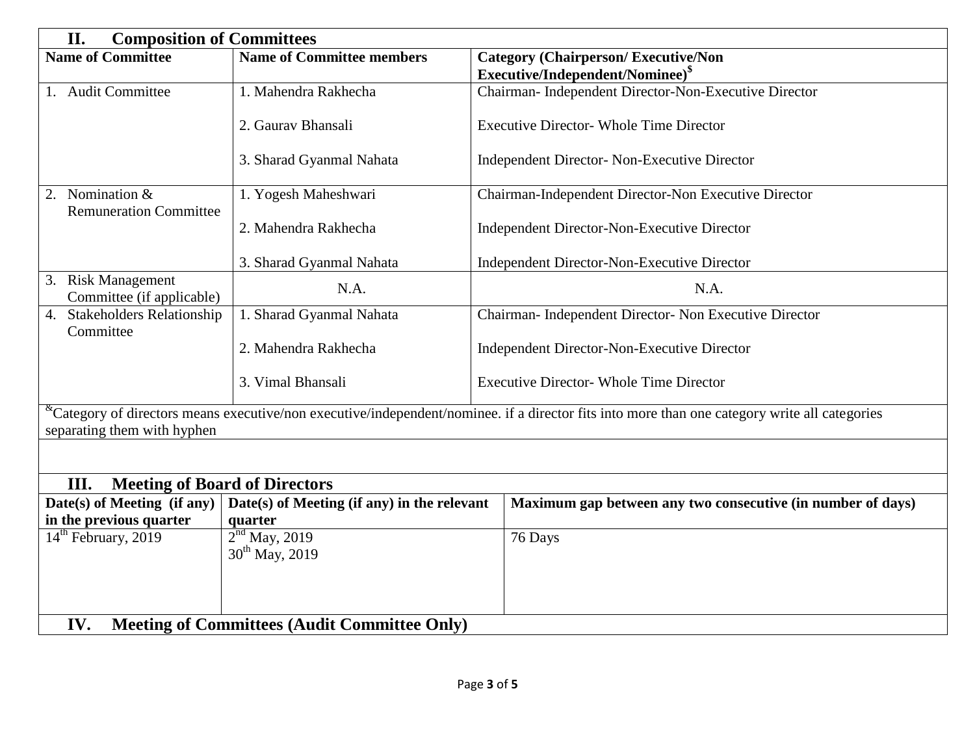| II.<br><b>Composition of Committees</b>                    |                                               |                                                                                                                                                               |  |  |  |  |
|------------------------------------------------------------|-----------------------------------------------|---------------------------------------------------------------------------------------------------------------------------------------------------------------|--|--|--|--|
| <b>Name of Committee</b>                                   | <b>Name of Committee members</b>              | <b>Category (Chairperson/Executive/Non</b>                                                                                                                    |  |  |  |  |
|                                                            |                                               | Executive/Independent/Nominee) <sup>\$</sup>                                                                                                                  |  |  |  |  |
| 1. Audit Committee                                         | 1. Mahendra Rakhecha                          | Chairman- Independent Director-Non-Executive Director                                                                                                         |  |  |  |  |
|                                                            | 2. Gauray Bhansali                            | <b>Executive Director- Whole Time Director</b>                                                                                                                |  |  |  |  |
|                                                            | 3. Sharad Gyanmal Nahata                      | <b>Independent Director- Non-Executive Director</b>                                                                                                           |  |  |  |  |
| 2. Nomination &<br><b>Remuneration Committee</b>           | 1. Yogesh Maheshwari                          | Chairman-Independent Director-Non Executive Director                                                                                                          |  |  |  |  |
|                                                            | 2. Mahendra Rakhecha                          | Independent Director-Non-Executive Director                                                                                                                   |  |  |  |  |
|                                                            | 3. Sharad Gyanmal Nahata                      | Independent Director-Non-Executive Director                                                                                                                   |  |  |  |  |
| 3. Risk Management<br>Committee (if applicable)            | N.A.                                          | N.A.                                                                                                                                                          |  |  |  |  |
| 4. Stakeholders Relationship<br>Committee                  | 1. Sharad Gyanmal Nahata                      | Chairman- Independent Director- Non Executive Director                                                                                                        |  |  |  |  |
|                                                            | 2. Mahendra Rakhecha                          | Independent Director-Non-Executive Director                                                                                                                   |  |  |  |  |
|                                                            | 3. Vimal Bhansali                             | <b>Executive Director- Whole Time Director</b>                                                                                                                |  |  |  |  |
| separating them with hyphen                                |                                               | <sup>&amp;</sup> Category of directors means executive/non executive/independent/nominee. if a director fits into more than one category write all categories |  |  |  |  |
|                                                            |                                               |                                                                                                                                                               |  |  |  |  |
| <b>Meeting of Board of Directors</b><br>Ш.                 |                                               |                                                                                                                                                               |  |  |  |  |
| Date(s) of Meeting (if any)                                | Date(s) of Meeting (if any) in the relevant   | Maximum gap between any two consecutive (in number of days)                                                                                                   |  |  |  |  |
| in the previous quarter<br>quarter                         |                                               |                                                                                                                                                               |  |  |  |  |
| 14 <sup>th</sup> February, 2019                            | $2nd$ May, 2019<br>30 <sup>th</sup> May, 2019 | 76 Days                                                                                                                                                       |  |  |  |  |
|                                                            |                                               |                                                                                                                                                               |  |  |  |  |
|                                                            |                                               |                                                                                                                                                               |  |  |  |  |
| IV.<br><b>Meeting of Committees (Audit Committee Only)</b> |                                               |                                                                                                                                                               |  |  |  |  |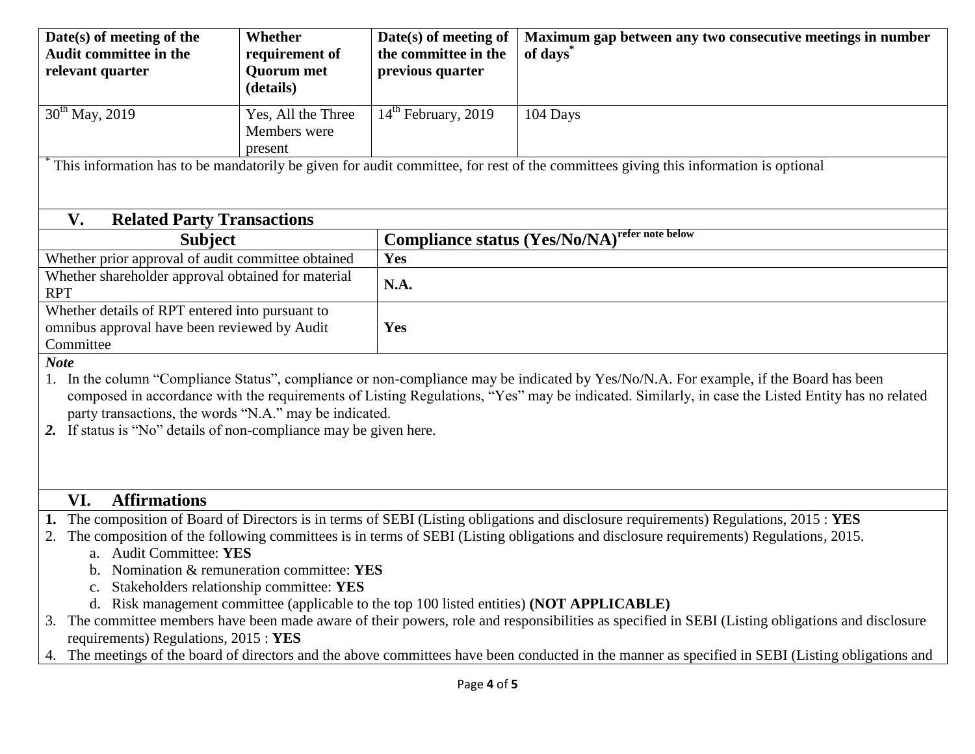| Date(s) of meeting of the<br><b>Audit committee in the</b><br>relevant quarter                                              | Whether<br>requirement of<br><b>Quorum</b> met<br>(details)                             | Date(s) of meeting of<br>the committee in the<br>previous quarter | Maximum gap between any two consecutive meetings in number<br>of days <sup>®</sup>                                                                                                                                                                                                                                                                                                                                                                                                                                                                                                                                                                                        |  |  |  |  |
|-----------------------------------------------------------------------------------------------------------------------------|-----------------------------------------------------------------------------------------|-------------------------------------------------------------------|---------------------------------------------------------------------------------------------------------------------------------------------------------------------------------------------------------------------------------------------------------------------------------------------------------------------------------------------------------------------------------------------------------------------------------------------------------------------------------------------------------------------------------------------------------------------------------------------------------------------------------------------------------------------------|--|--|--|--|
| $30^{th}$ May, 2019                                                                                                         | Yes, All the Three<br>Members were<br>present                                           | $14th$ February, 2019                                             | 104 Days                                                                                                                                                                                                                                                                                                                                                                                                                                                                                                                                                                                                                                                                  |  |  |  |  |
|                                                                                                                             |                                                                                         |                                                                   | This information has to be mandatorily be given for audit committee, for rest of the committees giving this information is optional                                                                                                                                                                                                                                                                                                                                                                                                                                                                                                                                       |  |  |  |  |
| <b>Related Party Transactions</b><br>V.                                                                                     |                                                                                         |                                                                   |                                                                                                                                                                                                                                                                                                                                                                                                                                                                                                                                                                                                                                                                           |  |  |  |  |
| <b>Subject</b>                                                                                                              |                                                                                         |                                                                   | <b>Compliance status (Yes/No/NA)</b> refer note below                                                                                                                                                                                                                                                                                                                                                                                                                                                                                                                                                                                                                     |  |  |  |  |
| Whether prior approval of audit committee obtained                                                                          |                                                                                         |                                                                   | Yes                                                                                                                                                                                                                                                                                                                                                                                                                                                                                                                                                                                                                                                                       |  |  |  |  |
| Whether shareholder approval obtained for material<br><b>RPT</b>                                                            |                                                                                         | N.A.                                                              |                                                                                                                                                                                                                                                                                                                                                                                                                                                                                                                                                                                                                                                                           |  |  |  |  |
| Whether details of RPT entered into pursuant to                                                                             |                                                                                         |                                                                   |                                                                                                                                                                                                                                                                                                                                                                                                                                                                                                                                                                                                                                                                           |  |  |  |  |
| omnibus approval have been reviewed by Audit                                                                                |                                                                                         | Yes                                                               |                                                                                                                                                                                                                                                                                                                                                                                                                                                                                                                                                                                                                                                                           |  |  |  |  |
| Committee<br><b>Note</b>                                                                                                    |                                                                                         |                                                                   |                                                                                                                                                                                                                                                                                                                                                                                                                                                                                                                                                                                                                                                                           |  |  |  |  |
| party transactions, the words "N.A." may be indicated.<br>2. If status is "No" details of non-compliance may be given here. |                                                                                         |                                                                   | In the column "Compliance Status", compliance or non-compliance may be indicated by Yes/No/N.A. For example, if the Board has been<br>composed in accordance with the requirements of Listing Regulations, "Yes" may be indicated. Similarly, in case the Listed Entity has no related                                                                                                                                                                                                                                                                                                                                                                                    |  |  |  |  |
| <b>Affirmations</b><br>VI.                                                                                                  |                                                                                         |                                                                   |                                                                                                                                                                                                                                                                                                                                                                                                                                                                                                                                                                                                                                                                           |  |  |  |  |
| 2.<br>a. Audit Committee: YES<br>d.<br>requirements) Regulations, 2015 : YES<br>4.                                          | b. Nomination & remuneration committee: YES<br>Stakeholders relationship committee: YES |                                                                   | The composition of Board of Directors is in terms of SEBI (Listing obligations and disclosure requirements) Regulations, 2015: YES<br>The composition of the following committees is in terms of SEBI (Listing obligations and disclosure requirements) Regulations, 2015.<br>Risk management committee (applicable to the top 100 listed entities) (NOT APPLICABLE)<br>The committee members have been made aware of their powers, role and responsibilities as specified in SEBI (Listing obligations and disclosure<br>The meetings of the board of directors and the above committees have been conducted in the manner as specified in SEBI (Listing obligations and |  |  |  |  |